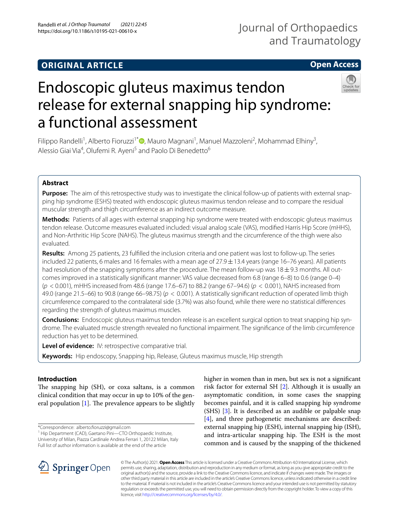# **ORIGINAL ARTICLE**

# **Open Access**



# Endoscopic gluteus maximus tendon release for external snapping hip syndrome: a functional assessment

Filippo Randelli<sup>1</sup>[,](http://orcid.org/0000-0002-4412-7375) Alberto Fioruzzi<sup>1\*</sup><sup>®</sup>, Mauro Magnani<sup>1</sup>, Manuel Mazzoleni<sup>2</sup>, Mohammad Elhiny<sup>3</sup>, Alessio Giai Via<sup>4</sup>, Olufemi R. Ayeni<sup>5</sup> and Paolo Di Benedetto<sup>6</sup>

# **Abstract**

**Purpose:** The aim of this retrospective study was to investigate the clinical follow-up of patients with external snapping hip syndrome (ESHS) treated with endoscopic gluteus maximus tendon release and to compare the residual muscular strength and thigh circumference as an indirect outcome measure.

**Methods:** Patients of all ages with external snapping hip syndrome were treated with endoscopic gluteus maximus tendon release. Outcome measures evaluated included: visual analog scale (VAS), modifed Harris Hip Score (mHHS), and Non-Arthritic Hip Score (NAHS). The gluteus maximus strength and the circumference of the thigh were also evaluated.

**Results:** Among 25 patients, 23 fulflled the inclusion criteria and one patient was lost to follow-up. The series included 22 patients, 6 males and 16 females with a mean age of  $27.9 \pm 13.4$  years (range 16–76 years). All patients had resolution of the snapping symptoms after the procedure. The mean follow-up was 18 $\pm$ 9.3 months. All outcomes improved in a statistically signifcant manner: VAS value decreased from 6.8 (range 6–8) to 0.6 (range 0–4) (*p* < 0.001), mHHS increased from 48.6 (range 17.6–67) to 88.2 (range 67–94.6) (*p* < 0.001), NAHS increased from 49.0 (range 21.5–66) to 90.8 (range 66–98.75) (*p* < 0.001). A statistically signifcant reduction of operated limb thigh circumference compared to the contralateral side (3.7%) was also found, while there were no statistical diferences regarding the strength of gluteus maximus muscles.

**Conclusions:** Endoscopic gluteus maximus tendon release is an excellent surgical option to treat snapping hip syndrome. The evaluated muscle strength revealed no functional impairment. The signifcance of the limb circumference reduction has yet to be determined.

**Level of evidence:** IV: retrospective comparative trial.

**Keywords:** Hip endoscopy, Snapping hip, Release, Gluteus maximus muscle, Hip strength

# **Introduction**

The snapping hip (SH), or coxa saltans, is a common clinical condition that may occur in up to 10% of the general population  $[1]$  $[1]$ . The prevalence appears to be slightly

\*Correspondence: alberto.foruzzi@gmail.com

<sup>1</sup> Hip Department (CAD), Gaetano Pini-CTO Orthopaedic Institute, University of Milan, Piazza Cardinale Andrea Ferrari 1, 20122 Milan, Italy Full list of author information is available at the end of the article

higher in women than in men, but sex is not a signifcant risk factor for external SH [[2](#page-4-1)]. Although it is usually an asymptomatic condition, in some cases the snapping becomes painful, and it is called snapping hip syndrome (SHS) [\[3](#page-4-2)]. It is described as an audible or palpable snap [[4\]](#page-4-3), and three pathogenetic mechanisms are described: external snapping hip (ESH), internal snapping hip (ISH), and intra-articular snapping hip. The ESH is the most common and is caused by the snapping of the thickened



© The Author(s) 2021. **Open Access** This article is licensed under a Creative Commons Attribution 4.0 International License, which permits use, sharing, adaptation, distribution and reproduction in any medium or format, as long as you give appropriate credit to the original author(s) and the source, provide a link to the Creative Commons licence, and indicate if changes were made. The images or other third party material in this article are included in the article's Creative Commons licence, unless indicated otherwise in a credit line to the material. If material is not included in the article's Creative Commons licence and your intended use is not permitted by statutory regulation or exceeds the permitted use, you will need to obtain permission directly from the copyright holder. To view a copy of this licence, visit [http://creativecommons.org/licenses/by/4.0/.](http://creativecommons.org/licenses/by/4.0/)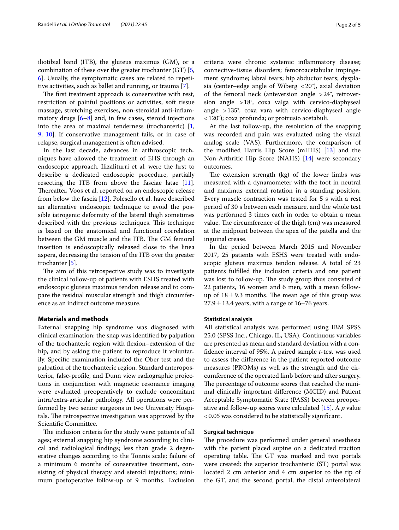iliotibial band (ITB), the gluteus maximus (GM), or a combination of these over the greater trochanter (GT) [\[5](#page-4-4), [6\]](#page-4-5). Usually, the symptomatic cases are related to repetitive activities, such as ballet and running, or trauma [\[7\]](#page-4-6).

The first treatment approach is conservative with rest, restriction of painful positions or activities, soft tissue massage, stretching exercises, non-steroidal anti-infammatory drugs  $[6-8]$  $[6-8]$  and, in few cases, steroid injections into the area of maximal tenderness (trochanteric) [\[1](#page-4-0), [9,](#page-4-8) [10](#page-4-9)]. If conservative management fails, or in case of relapse, surgical management is often advised.

In the last decade, advances in arthroscopic techniques have allowed the treatment of EHS through an endoscopic approach. Ilizaliturri et al. were the frst to describe a dedicated endoscopic procedure, partially resecting the ITB from above the fasciae latae [\[11](#page-4-10)]. Thereafter, Voos et al. reported on an endoscopic release from below the fascia [[12\]](#page-4-11). Polesello et al. have described an alternative endoscopic technique to avoid the possible iatrogenic deformity of the lateral thigh sometimes described with the previous techniques. This technique is based on the anatomical and functional correlation between the GM muscle and the ITB. The GM femoral insertion is endoscopically released close to the linea aspera, decreasing the tension of the ITB over the greater trochanter [\[5](#page-4-4)].

The aim of this retrospective study was to investigate the clinical follow-up of patients with ESHS treated with endoscopic gluteus maximus tendon release and to compare the residual muscular strength and thigh circumference as an indirect outcome measure.

# **Materials and methods**

External snapping hip syndrome was diagnosed with clinical examination: the snap was identifed by palpation of the trochanteric region with fexion–extension of the hip, and by asking the patient to reproduce it voluntarily. Specifc examination included the Ober test and the palpation of the trochanteric region. Standard anteroposterior, false-profle, and Dunn view radiographic projections in conjunction with magnetic resonance imaging were evaluated preoperatively to exclude concomitant intra/extra-articular pathology. All operations were performed by two senior surgeons in two University Hospitals. The retrospective investigation was approved by the Scientifc Committee.

The inclusion criteria for the study were: patients of all ages; external snapping hip syndrome according to clinical and radiological fndings; less than grade 2 degenerative changes according to the Tönnis scale; failure of a minimum 6 months of conservative treatment, consisting of physical therapy and steroid injections; minimum postoperative follow-up of 9 months. Exclusion

criteria were chronic systemic infammatory disease; connective-tissue disorders; femoroacetabular impingement syndrome; labral tears; hip abductor tears; dysplasia (center–edge angle of Wiberg  $\langle 20^\circ \rangle$ , axial deviation of the femoral neck (anteversion angle >24°, retroversion angle >18°, coxa valga with cervico-diaphyseal angle >135°, coxa vara with cervico-diaphyseal angle <120°); coxa profunda; or protrusio acetabuli.

At the last follow-up, the resolution of the snapping was recorded and pain was evaluated using the visual analog scale (VAS). Furthermore, the comparison of the modifed Harris Hip Score (mHHS) [\[13](#page-4-12)] and the Non-Arthritic Hip Score (NAHS) [\[14](#page-4-13)] were secondary outcomes.

The extension strength  $(kg)$  of the lower limbs was measured with a dynamometer with the foot in neutral and maximus external rotation in a standing position. Every muscle contraction was tested for 5 s with a rest period of 30 s between each measure, and the whole test was performed 3 times each in order to obtain a mean value. The circumference of the thigh (cm) was measured at the midpoint between the apex of the patella and the inguinal crease.

In the period between March 2015 and November 2017, 25 patients with ESHS were treated with endoscopic gluteus maximus tendon release. A total of 23 patients fulflled the inclusion criteria and one patient was lost to follow-up. The study group thus consisted of 22 patients, 16 women and 6 men, with a mean followup of  $18 \pm 9.3$  months. The mean age of this group was  $27.9 \pm 13.4$  years, with a range of 16–76 years.

# **Statistical analysis**

All statistical analysis was performed using IBM SPSS 25.0 (SPSS Inc., Chicago, IL, USA). Continuous variables are presented as mean and standard deviation with a confdence interval of 95%. A paired sample *t*-test was used to assess the diference in the patient reported outcome measures (PROMs) as well as the strength and the circumference of the operated limb before and after surgery. The percentage of outcome scores that reached the minimal clinically important diference (MCID) and Patient Acceptable Symptomatic State (PASS) between preoperative and follow-up scores were calculated [[15](#page-4-14)]. A *p* value <0.05 was considered to be statistically signifcant.

# **Surgical technique**

The procedure was performed under general anesthesia with the patient placed supine on a dedicated traction operating table. The GT was marked and two portals were created: the superior trochanteric (ST) portal was located 2 cm anterior and 4 cm superior to the tip of the GT, and the second portal, the distal anterolateral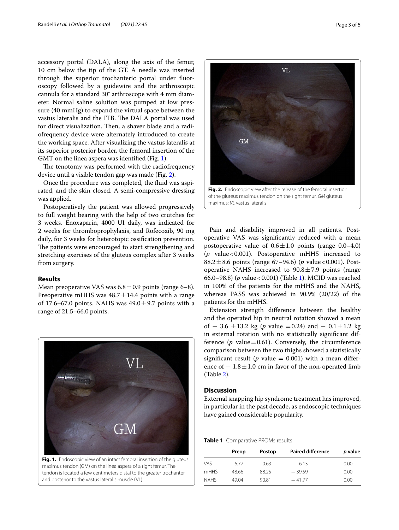accessory portal (DALA), along the axis of the femur, 10 cm below the tip of the GT. A needle was inserted through the superior trochanteric portal under fuoroscopy followed by a guidewire and the arthroscopic cannula for a standard 30° arthroscope with 4 mm diameter. Normal saline solution was pumped at low pressure (40 mmHg) to expand the virtual space between the vastus lateralis and the ITB. The DALA portal was used for direct visualization. Then, a shaver blade and a radiofrequency device were alternately introduced to create the working space. After visualizing the vastus lateralis at its superior posterior border, the femoral insertion of the GMT on the linea aspera was identifed (Fig. [1](#page-2-0)).

The tenotomy was performed with the radiofrequency device until a visible tendon gap was made (Fig. [2](#page-2-1)).

Once the procedure was completed, the fuid was aspirated, and the skin closed. A semi-compressive dressing was applied.

Postoperatively the patient was allowed progressively to full weight bearing with the help of two crutches for 3 weeks. Enoxaparin, 4000 UI daily, was indicated for 2 weeks for thromboprophylaxis, and Rofecoxib, 90 mg daily, for 3 weeks for heterotopic ossifcation prevention. The patients were encouraged to start strengthening and stretching exercises of the gluteus complex after 3 weeks from surgery.

# **Results**

Mean preoperative VAS was  $6.8 \pm 0.9$  points (range 6–8). Preoperative mHHS was  $48.7 \pm 14.4$  points with a range of 17.6–67.0 points. NAHS was  $49.0 \pm 9.7$  points with a range of 21.5–66.0 points.



<span id="page-2-0"></span>maximus tendon (GM) on the linea aspera of a right femur. The tendon is located a few centimeters distal to the greater trochanter and posterior to the vastus lateralis muscle (VL)



<span id="page-2-1"></span>of the gluteus maximus tendon on the right femur. *GM* gluteus maximus; *VL* vastus lateralis

Pain and disability improved in all patients. Postoperative VAS was signifcantly reduced with a mean postoperative value of  $0.6 \pm 1.0$  points (range 0.0–4.0) (*p* value<0.001). Postoperative mHHS increased to 88.2 $\pm$ 8.6 points (range 67–94.6) (*p* value < 0.001). Postoperative NAHS increased to  $90.8 \pm 7.9$  points (range 66.0–98.8) (*p* value<0.001) (Table [1](#page-2-2)). MCID was reached in 100% of the patients for the mHHS and the NAHS, whereas PASS was achieved in 90.9% (20/22) of the patients for the mHHS.

Extension strength diference between the healthy and the operated hip in neutral rotation showed a mean of − 3.6  $\pm$ 13.2 kg (*p* value =0.24) and − 0.1 $\pm$ 1.2 kg in external rotation with no statistically signifcant difference ( $p$  value=0.61). Conversely, the circumference comparison between the two thighs showed a statistically significant result ( $p$  value = 0.001) with a mean difference of  $-1.8 \pm 1.0$  cm in favor of the non-operated limb (Table [2\)](#page-3-0).

# **Discussion**

External snapping hip syndrome treatment has improved, in particular in the past decade, as endoscopic techniques have gained considerable popularity.

<span id="page-2-2"></span>**Table 1** Comparative PROMs results

|             | Preop | Postop | <b>Paired difference</b> | p value |  |
|-------------|-------|--------|--------------------------|---------|--|
| <b>VAS</b>  | 677   | 0.63   | 6.13                     | 0.00    |  |
| mHHS        | 48.66 | 88.25  | $-39.59$                 | 0.00    |  |
| <b>NAHS</b> | 49.04 | 90.81  | $-41.77$                 | 0.00    |  |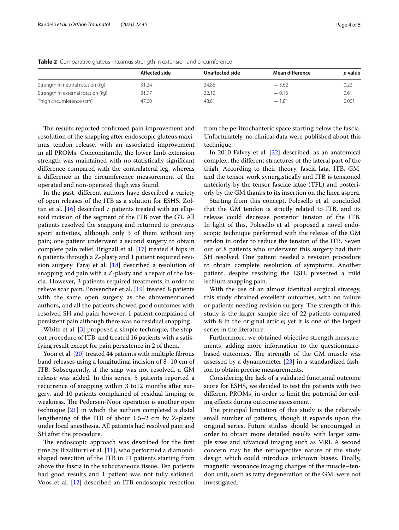|                                    | Affected side | Unaffected side | Mean difference | <i>p</i> value |
|------------------------------------|---------------|-----------------|-----------------|----------------|
| Strength in neutral rotation (kg)  | 31.24         | 34.86           | $-3.62$         | 0.23           |
| Strength in external rotation (kg) | 31.97         | 32.10           | $-0.13$         | 0.61           |
| Thigh circumference (cm)           | 47.00         | 48.81           | $-1.81$         | 0.001          |

<span id="page-3-0"></span>**Table 2** Comparative gluteus maximus strength in extension and circumference

The results reported confirmed pain improvement and resolution of the snapping after endoscopic gluteus maximus tendon release, with an associated improvement in all PROMs. Concomitantly, the lower limb extension strength was maintained with no statistically signifcant diference compared with the contralateral leg, whereas a diference in the circumference measurement of the operated and non-operated thigh was found.

In the past, diferent authors have described a variety of open releases of the ITB as a solution for ESHS. Zoltan et al. [[16\]](#page-4-15) described 7 patients treated with an ellipsoid incision of the segment of the ITB over the GT. All patients resolved the snapping and returned to previous sport activities, although only 3 of them without any pain; one patient underwent a second surgery to obtain complete pain relief. Brignall et al. [\[17\]](#page-4-16) treated 8 hips in 6 patients through a Z-plasty and 1 patient required revision surgery. Faraj et al. [[18\]](#page-4-17) described a resolution of snapping and pain with a Z-plasty and a repair of the fascia. However, 3 patients required treatments in order to relieve scar pain. Provencher et al. [\[19](#page-4-18)] treated 8 patients with the same open surgery as the abovementioned authors, and all the patients showed good outcomes with resolved SH and pain; however, 1 patient complained of persistent pain although there was no residual snapping.

White et al. [\[3](#page-4-2)] proposed a simple technique, the stepcut procedure of ITB, and treated 16 patients with a satisfying result except for pain persistence in 2 of them.

Yoon et al. [\[20](#page-4-19)] treated 44 patients with multiple fibrous band releases using a longitudinal incision of 8–10 cm of ITB. Subsequently, if the snap was not resolved, a GM release was added. In this series, 5 patients reported a recurrence of snapping within 3 to12 months after surgery, and 10 patients complained of residual limping or weakness. The Pedersen-Noor operation is another open technique [\[21](#page-4-20)] in which the authors completed a distal lengthening of the ITB of about 1.5–2 cm by Z-plasty under local anesthesia. All patients had resolved pain and SH after the procedure.

The endoscopic approach was described for the first time by Ilizaliturri et al. [\[11](#page-4-10)], who performed a diamondshaped resection of the ITB in 11 patients starting from above the fascia in the subcutaneous tissue. Ten patients had good results and 1 patient was not fully satisfed. Voos et al. [[12\]](#page-4-11) described an ITB endoscopic resection from the peritrochanteric space starting below the fascia. Unfortunately, no clinical data were published about this technique.

In 2010 Falvey et al. [\[22](#page-4-21)] described, as an anatomical complex, the diferent structures of the lateral part of the thigh. According to their theory, fascia lata, ITB, GM, and the tensor work synergistically and ITB is tensioned anteriorly by the tensor fasciae latae (TFL) and posteriorly by the GM thanks to its insertion on the linea aspera.

Starting from this concept, Polesello et al. concluded that the GM tendon is strictly related to ITB, and its release could decrease posterior tension of the ITB. In light of this, Polesello et al. proposed a novel endoscopic technique performed with the release of the GM tendon in order to reduce the tension of the ITB. Seven out of 8 patients who underwent this surgery had their SH resolved. One patient needed a revision procedure to obtain complete resolution of symptoms. Another patient, despite resolving the ESH, presented a mild ischium snapping pain.

With the use of an almost identical surgical strategy, this study obtained excellent outcomes, with no failure or patients needing revision surgery. The strength of this study is the larger sample size of 22 patients compared with 8 in the original article; yet it is one of the largest series in the literature.

Furthermore, we obtained objective strength measurements, adding more information to the questionnairebased outcomes. The strength of the GM muscle was assessed by a dynamometer  $[23]$  $[23]$  in a standardized fashion to obtain precise measurements.

Considering the lack of a validated functional outcome score for ESHS, we decided to test the patients with two diferent PROMs, in order to limit the potential for ceiling efects during outcome assessment.

The principal limitation of this study is the relatively small number of patients, though it expands upon the original series. Future studies should be encouraged in order to obtain more detailed results with larger sample sizes and advanced imaging such as MRI. A second concern may be the retrospective nature of the study design which could introduce unknown biases. Finally, magnetic resonance imaging changes of the muscle–tendon unit, such as fatty degeneration of the GM, were not investigated.